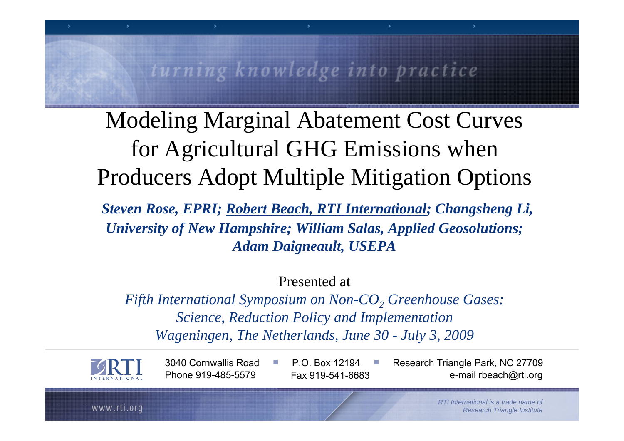#### turning knowledge into practice

Modeling Marginal Abatement Cost Curves for Agricultural GHG Emissions when Producers Adopt Multiple Mitigation Options

*Steven Rose, EPRI; Robert Beach, RTI International; Changsheng Li, University of New Hampshire; William Salas, Applied Geosolutions; Adam Daigneault, USEPA* 

Presented at

*Fifth International Symposium on Non-CO 2 Greenhouse Gases: Science, Reduction Policy and Implementation Wageningen, The Netherlands, June 30 - July 3, 2009* 

■



3040 Cornwallis Road Phone 919-485-5579 Fax 919-541-6683

P.O. Box 12194

■

 Research Triangle Park, NC 27709 e-mail rbeach@rti.org

www.rti.org

*RTI International is a trade name of Research Triangle Institute*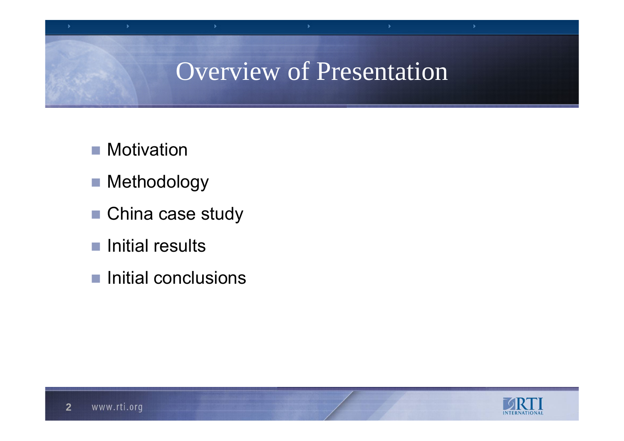### Overview of Presentation

- Motivation
- Methodology
- China case study
- Initial results
- Initial conclusions



s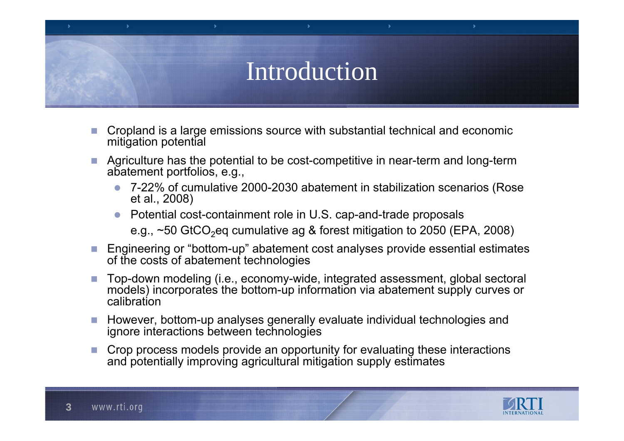## Introduction

- P. Cropland is a large emissions source with substantial technical and economic mitigation potential
- P. Agriculture has the potential to be cost-competitive in near-term and long-term abatement portfolios, e.g.,
	- $\bullet$  7-22% of cumulative 2000-2030 abatement in stabilization scenarios (Rose et al., 2008)
	- $\bullet$  Potential cost-containment role in U.S. cap-and-trade proposals e.g.,  $\sim$ 50 GtCO<sub>2</sub>eg cumulative ag & forest mitigation to 2050 (EPA, 2008)
- Engineering or "bottom-up" abatement cost analyses provide essential estimates of the costs of abatement technologies
- P. Top-down modeling (i.e., economy-wide, integrated assessment, global sectoral models) incorporates the bottom-up information via abatement supply curves or calibration
- $\mathcal{C}^{\mathcal{A}}$  However, bottom-up analyses generally evaluate individual technologies and ignore interactions between technologies
- P. Crop process models provide an opportunity for evaluating these interactions and potentially improving agricultural mitigation supply estimates

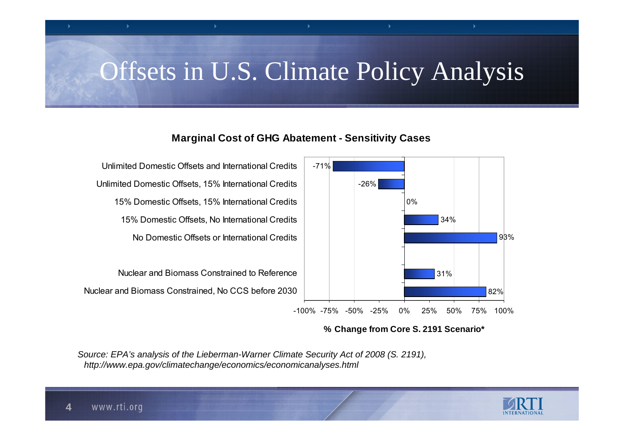## Offsets in U.S. Climate Policy Analysis

#### **Marginal Cost of GHG Abatement - Sensitivity Cases**



**% Change from Core S. 2191 Scenario\***

*Source: EPA's analysis of the Lieberman-Warner Climate Security Act of 2008 (S. 2191), http://www.epa.gov/climatechange/economics/economicanalyses.html*

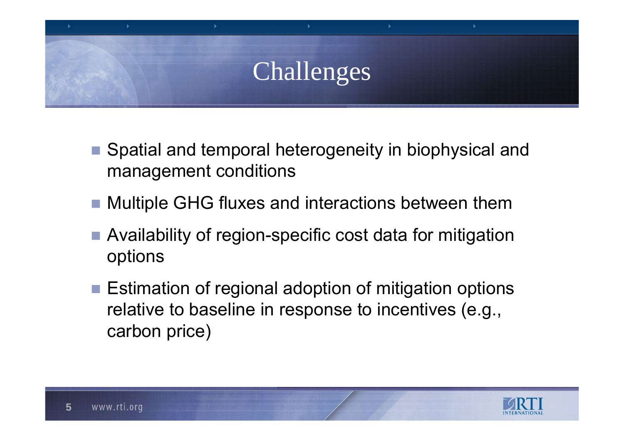# Challenges

- Spatial and temporal heterogeneity in biophysical and management conditions
- Multiple GHG fluxes and interactions between them
- Availability of region-specific cost data for mitigation options
- Estimation of regional adoption of mitigation options relative to baseline in response to incentives (e.g., carbon price)

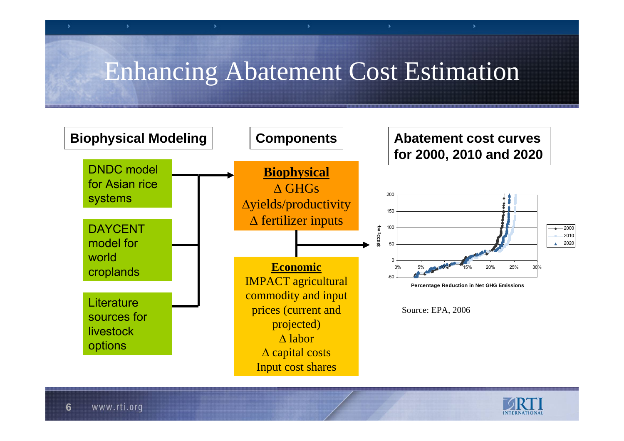## Enhancing Abatement Cost Estimation



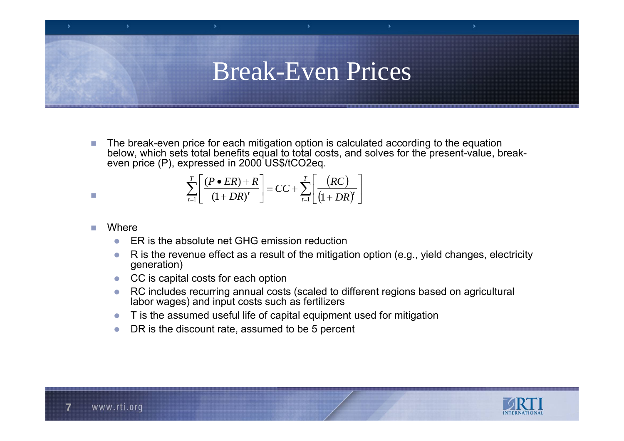#### Break-Even Prices

 $\mathcal{C}^{\mathcal{A}}$ **The break-even price for each mitigation option is calculated according to the equation** below, which sets total benefits equal to total costs, and solves for the present-value, breakeven price (P), expressed in 2000 US\$/tCO2eq.

$$
\sum_{t=1}^{T} \left[ \frac{(P \bullet ER) + R}{(1 + DR)^{t}} \right] = CC + \sum_{t=1}^{T} \left[ \frac{(RC)}{(1 + DR)^{t}} \right]
$$

#### $\mathcal{L}_{\mathcal{A}}$ **Where**

 $\mathcal{L}_{\mathcal{A}}$ 

- zER is the absolute net GHG emission reduction
- $\bullet$  R is the revenue effect as a result of the mitigation option (e.g., yield changes, electricity generation)
- zCC is capital costs for each option
- z RC includes recurring annual costs (scaled to different regions based on agricultural labor wages) and input costs such as fertilizers
- zT is the assumed useful life of capital equipment used for mitigation
- zDR is the discount rate, assumed to be 5 percent

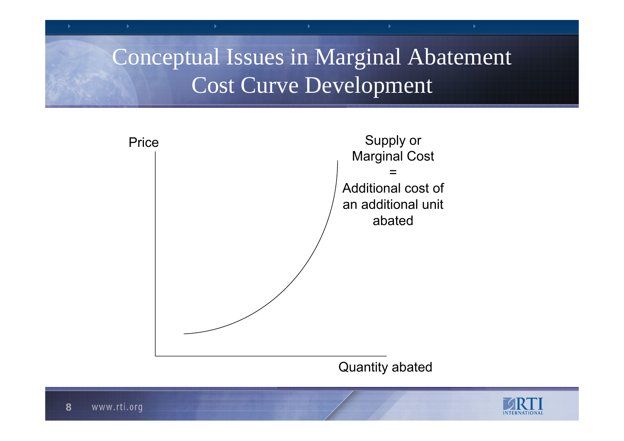### Conceptual Issues in Marginal Abatement Cost Curve Development



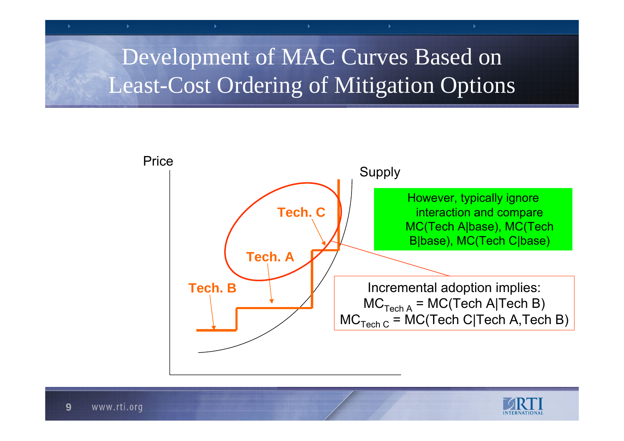## Development of MAC Curves Based on Least-Cost Ordering of Mitigation Options



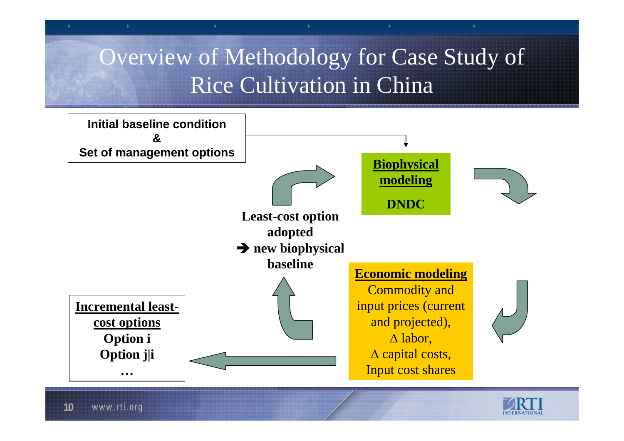## Overview of Methodology for Case Study of Rice Cultivation in China



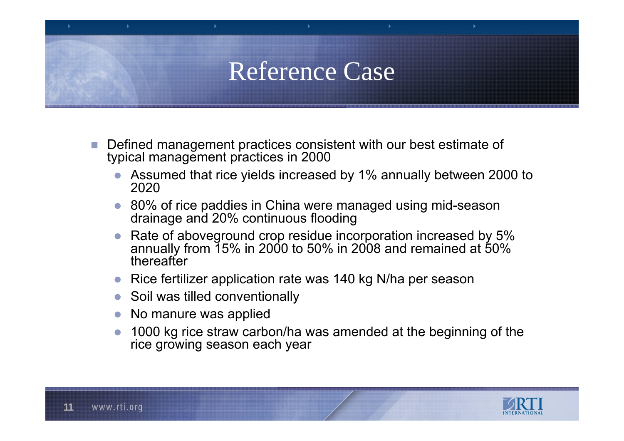## Reference Case

- $\mathcal{C}^{\mathcal{A}}$  Defined management practices consistent with our best estimate of typical management practices in 2000
	- $\bullet$  Assumed that rice yields increased by 1% annually between 2000 to 2020
	- $\bullet$  80% of rice paddies in China were managed using mid-season drainage and 20% continuous flooding
	- $\bullet$  Rate of aboveground crop residue incorporation increased by 5% annually from 15% in 2000 to 50% in 2008 and remained at 50% thereafter
	- $\bullet$ Rice fertilizer application rate was 140 kg N/ha per season
	- $\bullet$ Soil was tilled conventionally
	- $\bullet$ No manure was applied
	- $\bullet$  1000 kg rice straw carbon/ha was amended at the beginning of the rice growing season each year

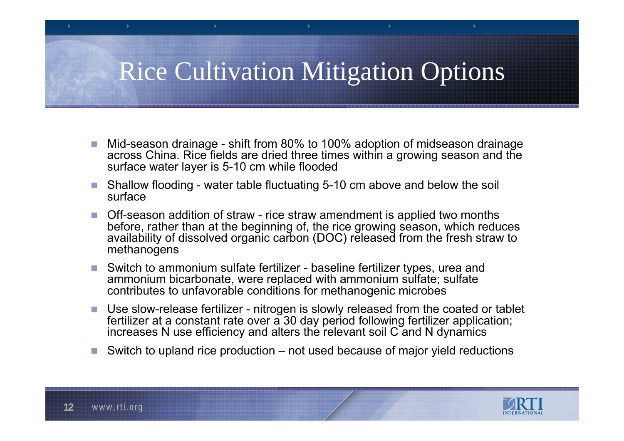## Rice Cultivation Mitigation Options

- P. Mid-season drainage - shift from 80% to 100% adoption of midseason drainage across China. Rice fields are dried three times within a growing season and the surface water layer is 5-10 cm while flooded
- **Contract**  Shallow flooding - water table fluctuating 5-10 cm above and below the soil surface
- Off-season addition of straw rice straw amendment is applied two months before, rather than at the beginning of, the rice growing season, which reduces availability of dissolved organic carbon (DOC) released from the fresh straw to methanogens
- Switch to ammonium sulfate fertilizer baseline fertilizer types, urea and ammonium bicarbonate, were replaced with ammonium sulfate; sulfate contributes to unfavorable conditions for methanogenic microbes
- $\mathcal{C}$ ■ Use slow-release fertilizer - nitrogen is slowly released from the coated or tablet fertilizer at a constant rate over a 30 day period following fertilizer application; increases N use efficiency and alters the relevant soil  $C$  and N dynamics
- M. Switch to upland rice production – not used because of major yield reductions

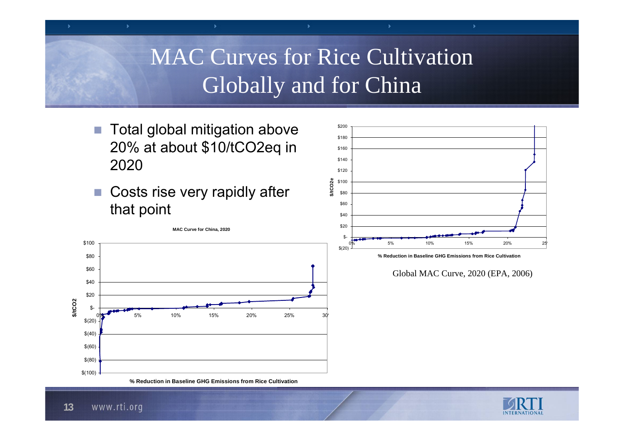#### MAC Curves for Rice Cultivation Globally and for China

- $\overline{\mathcal{A}}$  Total global mitigation above 20% at about \$10/tCO2eq in 2020
- Costs rise very rapidly after that point



![](_page_12_Figure_4.jpeg)

Global MAC Curve, 2020 (EPA, 2006)

![](_page_12_Picture_7.jpeg)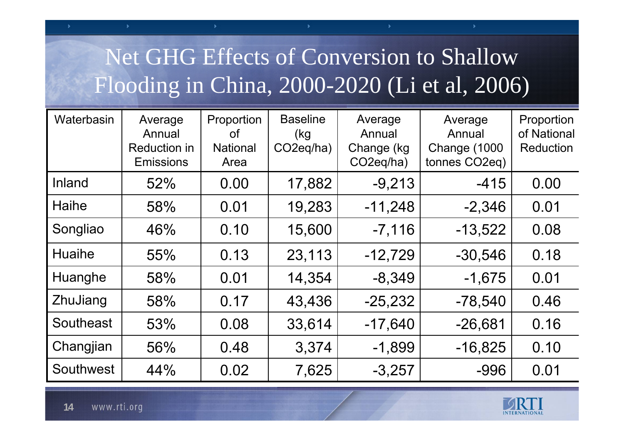## Net GHG Effects of Conversion to Shallow Flooding in China, 2000-2020 (Li et al, 2006)

| Waterbasin    | Average<br>Annual<br><b>Reduction in</b><br><b>Emissions</b> | Proportion<br><b>of</b><br><b>National</b><br>Area | <b>Baseline</b><br>(kg<br>CO <sub>2</sub> eq/ha) | Average<br>Annual<br>Change (kg<br>CO <sub>2</sub> eq/ha) | Average<br>Annual<br><b>Change (1000)</b><br>tonnes CO <sub>2</sub> eq) | Proportion<br>of National<br><b>Reduction</b> |
|---------------|--------------------------------------------------------------|----------------------------------------------------|--------------------------------------------------|-----------------------------------------------------------|-------------------------------------------------------------------------|-----------------------------------------------|
| Inland        | 52%                                                          | 0.00                                               | 17,882                                           | $-9,213$                                                  | $-415$                                                                  | 0.00                                          |
| Haihe         | 58%                                                          | 0.01                                               | 19,283                                           | $-11,248$                                                 | $-2,346$                                                                | 0.01                                          |
| Songliao      | 46%                                                          | 0.10                                               | 15,600                                           | $-7,116$                                                  | $-13,522$                                                               | 0.08                                          |
| <b>Huaihe</b> | 55%                                                          | 0.13                                               | 23,113                                           | $-12,729$                                                 | $-30,546$                                                               | 0.18                                          |
| Huanghe       | 58%                                                          | 0.01                                               | 14,354                                           | $-8,349$                                                  | $-1,675$                                                                | 0.01                                          |
| ZhuJiang      | 58%                                                          | 0.17                                               | 43,436                                           | $-25,232$                                                 | $-78,540$                                                               | 0.46                                          |
| Southeast     | 53%                                                          | 0.08                                               | 33,614                                           | $-17,640$                                                 | $-26,681$                                                               | 0.16                                          |
| Changjian     | 56%                                                          | 0.48                                               | 3,374                                            | $-1,899$                                                  | $-16,825$                                                               | 0.10                                          |
| Southwest     | 44%                                                          | 0.02                                               | 7,625                                            | $-3,257$                                                  | $-996$                                                                  | 0.01                                          |

![](_page_13_Picture_2.jpeg)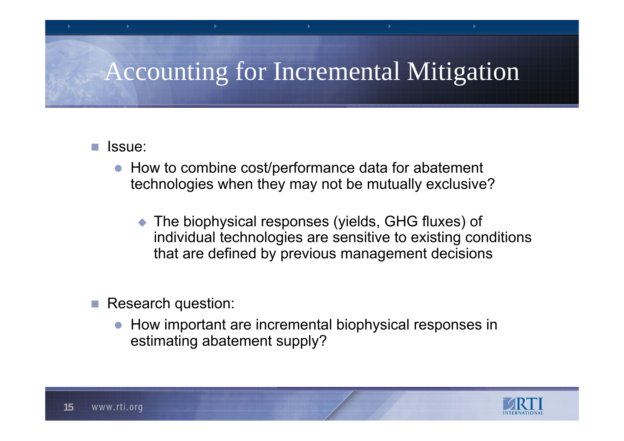# Accounting for Incremental Mitigation

#### P. Issue:

- $\bullet$  How to combine cost/performance data for abatement technologies when they may not be mutually exclusive?
	- $\blacklozenge$  The biophysical responses (yields, GHG fluxes) of individual technologies are sensitive to existing conditions that are defined by previous management decisions
- Research question:
	- $\bullet$  How important are incremental biophysical responses in estimating abatement supply?

![](_page_14_Picture_6.jpeg)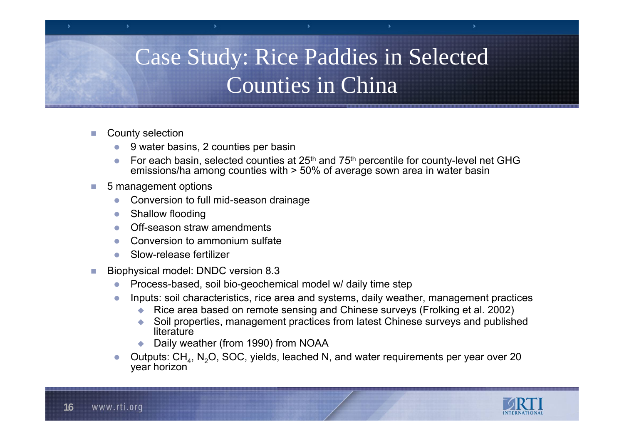## Case Study: Rice Paddies in Selected Counties in China

- County selection
	- z9 water basins, 2 counties per basin
	- zFor each basin, selected counties at 25<sup>th</sup> and 75<sup>th</sup> percentile for county-level net GHG emissions/ha among counties with > 50% of average sown area in water basin
- 5 management options
	- zConversion to full mid-season drainage
	- $\bullet$ Shallow flooding
	- $\bullet$ Off-season straw amendments
	- zConversion to ammonium sulfate
	- zSlow-release fertilizer
- Biophysical model: DNDC version 8.3
	- zProcess-based, soil bio-geochemical model w/ daily time step
	- z Inputs: soil characteristics, rice area and systems, daily weather, management practices
		- ◆ Rice area based on remote sensing and Chinese surveys (Frolking et al. 2002)
		- ◆ Soil properties, management practices from latest Chinese surveys and published **literature**
		- ◆ Daily weather (from 1990) from NOAA
	- zOutputs:  $CH_4$ , N<sub>2</sub>O, SOC, yields, leached N, and water requirements per year over 20 year horizon

![](_page_15_Picture_17.jpeg)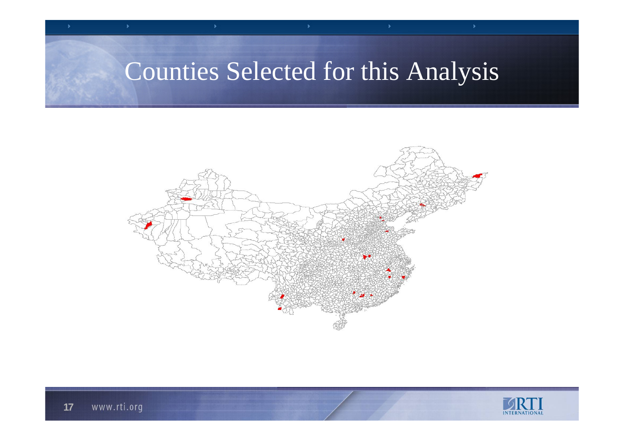## Counties Selected for this Analysis

![](_page_16_Figure_1.jpeg)

![](_page_16_Picture_2.jpeg)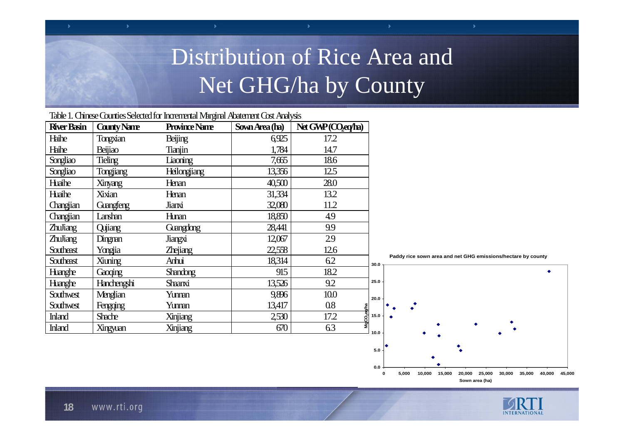## Distribution of Rice Area and Net GHG/ha by County

|                    |                    | Table 1. Chinese Counties Selected for Incremental Marginal Abatement Cost Analysis |                |                                                   |                                                                      |  |
|--------------------|--------------------|-------------------------------------------------------------------------------------|----------------|---------------------------------------------------|----------------------------------------------------------------------|--|
| <b>River Basin</b> | <b>County Name</b> | <b>Province Name</b>                                                                | Sown Area (ha) | $N_{\rm t}$ $G_{\rm NP}$ $(O_{\rm eq}/I_{\rm R})$ |                                                                      |  |
| Haihe              | Tongxian           | <b>Beijing</b>                                                                      | 6925           | 17.2                                              |                                                                      |  |
| Haihe              | Beijiao            | Tianjin                                                                             | 1,784          | 14.7                                              |                                                                      |  |
| Songliao           | <b>Tieling</b>     | Liaoning                                                                            | 7.665          | 18.6                                              |                                                                      |  |
| Songliao           | Tongjiang          | <b>Heilongjiang</b>                                                                 | 13,356         | 12.5                                              |                                                                      |  |
| Haihe              | Xinyang            | Henan                                                                               | 40,500         | 28.0                                              |                                                                      |  |
| Huaihe             | Xixian             | Henan                                                                               | 31,334         | 13.2                                              |                                                                      |  |
| Changjian          | Grangfeng          | Jianxi                                                                              | 32,080         | 11.2                                              |                                                                      |  |
| Changjian          | Lanshan            | <b>Hunan</b>                                                                        | 18,850         | 4.9                                               |                                                                      |  |
| <b>ZhuJiang</b>    | Qujiang            | Guangdong                                                                           | 28,441         | 9.9                                               |                                                                      |  |
| <b>ZhuJiang</b>    | Dingman            | Jiangxi                                                                             | 12,067         | 29                                                |                                                                      |  |
| Southeast          | Yongjia            | <b>Z</b> rejiang                                                                    | 22,558         | 12.6                                              |                                                                      |  |
| Southeast          | Xiuning            | Anhui                                                                               | 18,314         | 62                                                | Paddy rice sown area and net GHG emissions/hectare by county<br>30.0 |  |
| Hanghe             | Gaoging            | <b>Shandong</b>                                                                     | 915            | 18.2                                              |                                                                      |  |
| Hanghe             | Hanchengshi        | <b>Shaanxi</b>                                                                      | 13,526         | 9.2                                               | 25.0                                                                 |  |
| Southwest          | Menglian           | Yunnan                                                                              | 9,896          | 10.0                                              | 20.0                                                                 |  |
| Southwest          | Fengqing           | Yunnan                                                                              | 13,417         | $0.8\,$                                           |                                                                      |  |
| <b>Inland</b>      | <b>Shache</b>      | Xinjiang                                                                            | 2,530          | 17.2<br>႙                                         | $15.0 -$                                                             |  |
| <b>Inland</b>      | Xingyuan           | Xinjiang                                                                            | 670            | 63                                                | 10.0                                                                 |  |
|                    |                    |                                                                                     |                |                                                   |                                                                      |  |

**0.0**

**5.0**

**0 5,000 10,000 15,000 20,000 25,000 30,000 35,000 40,000 45,000 Sown area (ha)**

s

![](_page_17_Picture_3.jpeg)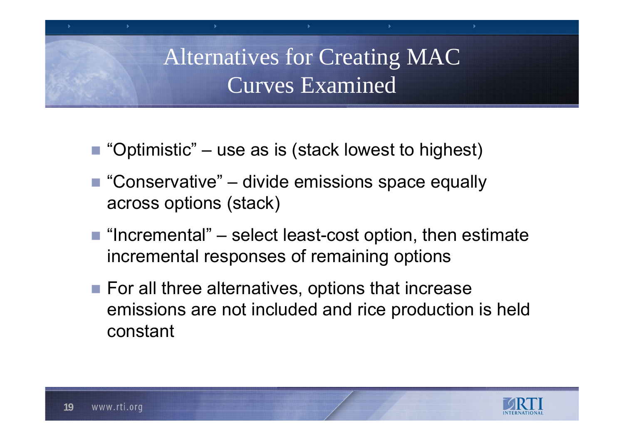Alternatives for Creating MAC Curves Examined

- "Optimistic" use as is (stack lowest to highest)
- $\blacksquare$  "Conservative" divide emissions space equally across options (stack)
- $\blacksquare$  "Incremental" select least-cost option, then estimate incremental responses of remaining options
- $\blacksquare$  For all three alternatives, options that increase emissions are not included and rice production is held constant

![](_page_18_Picture_5.jpeg)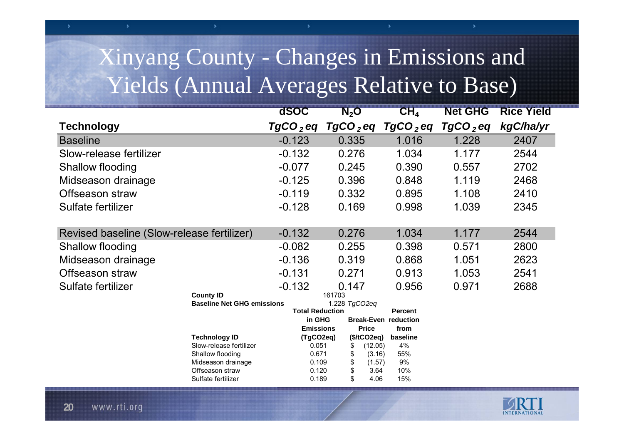## Xinyang County - Changes in Emissions and Yields (Annual Averages Relative to Base)

|                                            |                                       | dSOC                                    | $\mathbf{N}_2\mathbf{O}$ |                | CH <sub>4</sub>             | <b>Net GHG</b>         | <b>Rice Yield</b> |
|--------------------------------------------|---------------------------------------|-----------------------------------------|--------------------------|----------------|-----------------------------|------------------------|-------------------|
| <b>Technology</b>                          |                                       | $TgCO2$ eq                              | $TgCO2$ eq               |                | TgCO $_{2}$ eq              | $TqCO$ <sub>2</sub> eq | kgC/ha/yr         |
| <b>Baseline</b>                            |                                       | $-0.123$                                | 0.335                    |                | 1.016                       | 1.228                  | 2407              |
| Slow-release fertilizer                    |                                       | $-0.132$                                | 0.276                    |                | 1.034                       | 1.177                  | 2544              |
| Shallow flooding                           |                                       | $-0.077$                                | 0.245                    |                | 0.390                       | 0.557                  | 2702              |
| Midseason drainage                         |                                       | $-0.125$                                | 0.396                    |                | 0.848                       | 1.119                  | 2468              |
| Offseason straw                            |                                       | $-0.119$                                | 0.332                    |                | 0.895                       | 1.108                  | 2410              |
| Sulfate fertilizer                         |                                       | $-0.128$                                | 0.169                    |                | 0.998                       | 1.039                  | 2345              |
| Revised baseline (Slow-release fertilizer) |                                       | $-0.132$                                | 0.276                    |                | 1.034                       | 1.177                  | 2544              |
| Shallow flooding                           |                                       | $-0.082$                                | 0.255                    |                | 0.398                       | 0.571                  | 2800              |
| Midseason drainage                         |                                       | $-0.136$                                | 0.319                    |                | 0.868                       | 1.051                  | 2623              |
| Offseason straw                            |                                       | $-0.131$                                | 0.271                    |                | 0.913                       | 1.053                  | 2541              |
| Sulfate fertilizer                         |                                       | $-0.132$                                | 0.147                    |                | 0.956                       | 0.971                  | 2688              |
|                                            | <b>County ID</b>                      |                                         | 161703                   |                |                             |                        |                   |
|                                            | <b>Baseline Net GHG emissions</b>     | 1.228 TgCO2eq<br><b>Total Reduction</b> |                          | <b>Percent</b> |                             |                        |                   |
|                                            |                                       | in GHG                                  |                          |                | <b>Break-Even reduction</b> |                        |                   |
|                                            |                                       | <b>Emissions</b>                        |                          | <b>Price</b>   | from                        |                        |                   |
|                                            | <b>Technology ID</b>                  | (TgCO2eq)                               |                          | (\$/tCO2eq)    | baseline                    |                        |                   |
|                                            | Slow-release fertilizer               | 0.051                                   | \$                       | (12.05)        | 4%                          |                        |                   |
|                                            | Shallow flooding                      | 0.671                                   | \$                       | (3.16)         | 55%                         |                        |                   |
|                                            | Midseason drainage<br>Offseason straw | 0.109<br>0.120                          | \$                       | (1.57)<br>3.64 | 9%<br>10%                   |                        |                   |
|                                            | Sulfate fertilizer                    | 0.189                                   | \$                       | 4.06           | 15%                         |                        |                   |

![](_page_19_Picture_2.jpeg)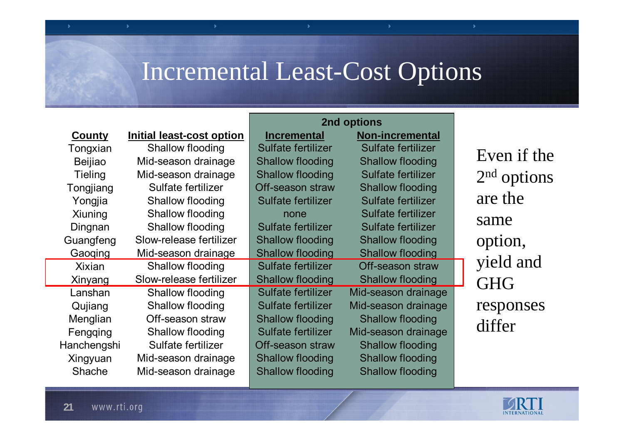## Incremental Least-Cost Options

|                |                           | 2nd options             |                         |               |
|----------------|---------------------------|-------------------------|-------------------------|---------------|
| <b>County</b>  | Initial least-cost option | <b>Incremental</b>      | <b>Non-incremental</b>  |               |
| Tongxian       | Shallow flooding          | Sulfate fertilizer      | Sulfate fertilizer      | Even if the   |
| <b>Beijiao</b> | Mid-season drainage       | <b>Shallow flooding</b> | <b>Shallow flooding</b> |               |
| <b>Tieling</b> | Mid-season drainage       | <b>Shallow flooding</b> | Sulfate fertilizer      | $2nd$ options |
| Tongjiang      | Sulfate fertilizer        | Off-season straw        | <b>Shallow flooding</b> |               |
| Yongjia        | Shallow flooding          | Sulfate fertilizer      | Sulfate fertilizer      | are the       |
| Xiuning        | Shallow flooding          | none                    | Sulfate fertilizer      |               |
| Dingnan        | Shallow flooding          | Sulfate fertilizer      | Sulfate fertilizer      | same          |
| Guangfeng      | Slow-release fertilizer   | <b>Shallow flooding</b> | <b>Shallow flooding</b> | option,       |
| Gaoging        | Mid-season drainage       | <b>Shallow flooding</b> | <b>Shallow flooding</b> |               |
| <b>Xixian</b>  | Shallow flooding          | Sulfate fertilizer      | Off-season straw        | yield and     |
| Xinyang        | Slow-release fertilizer   | <b>Shallow flooding</b> | <b>Shallow flooding</b> | <b>GHG</b>    |
| Lanshan        | Shallow flooding          | Sulfate fertilizer      | Mid-season drainage     |               |
| Qujiang        | Shallow flooding          | Sulfate fertilizer      | Mid-season drainage     | responses     |
| Menglian       | Off-season straw          | <b>Shallow flooding</b> | <b>Shallow flooding</b> | differ        |
| Fengging       | Shallow flooding          | Sulfate fertilizer      | Mid-season drainage     |               |
| Hanchengshi    | Sulfate fertilizer        | Off-season straw        | <b>Shallow flooding</b> |               |
| Xingyuan       | Mid-season drainage       | <b>Shallow flooding</b> | <b>Shallow flooding</b> |               |
| <b>Shache</b>  | Mid-season drainage       | <b>Shallow flooding</b> | <b>Shallow flooding</b> |               |

![](_page_20_Picture_2.jpeg)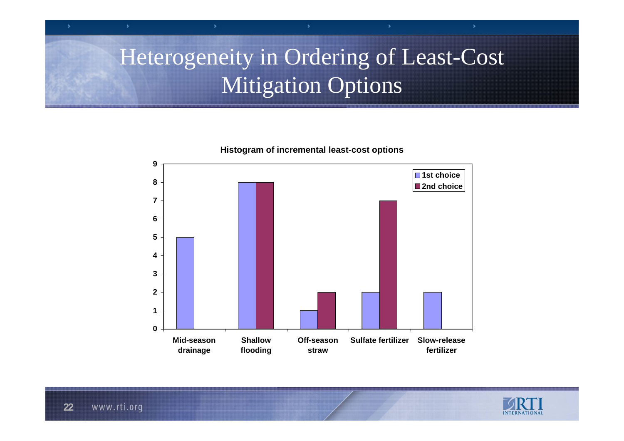## Heterogeneity in Ordering of Least-Cost **Mitigation Options**

**0123456789Mid-seasondrainage Shallowflooding Off-seasonstrawSulfate fertilizer Slow-releasefertilizer**■1st choice ■2nd choice

![](_page_21_Picture_2.jpeg)

![](_page_21_Picture_3.jpeg)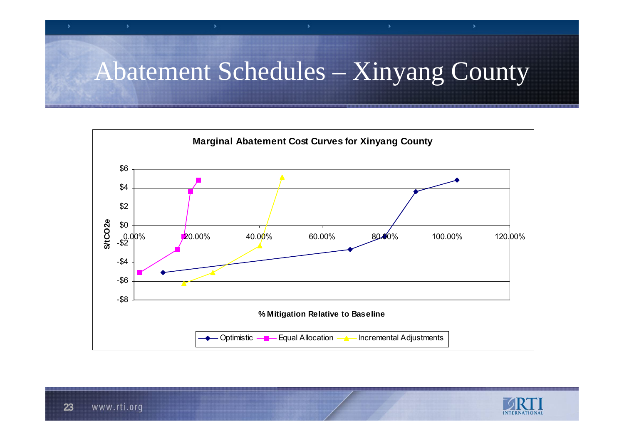# Abatement Schedules – Xinyang County

![](_page_22_Figure_1.jpeg)

![](_page_22_Picture_2.jpeg)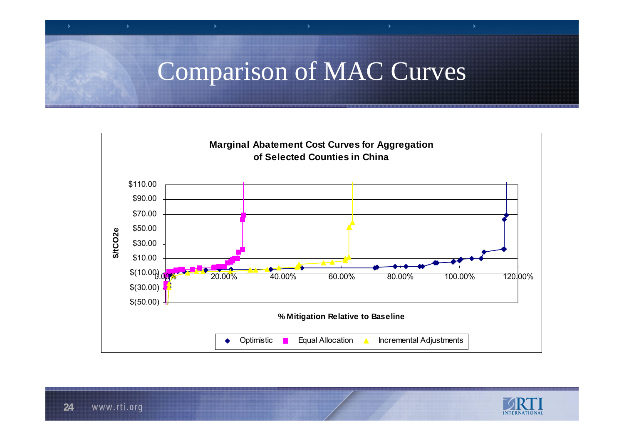## Comparison of MAC Curves

![](_page_23_Figure_1.jpeg)

![](_page_23_Picture_2.jpeg)

s